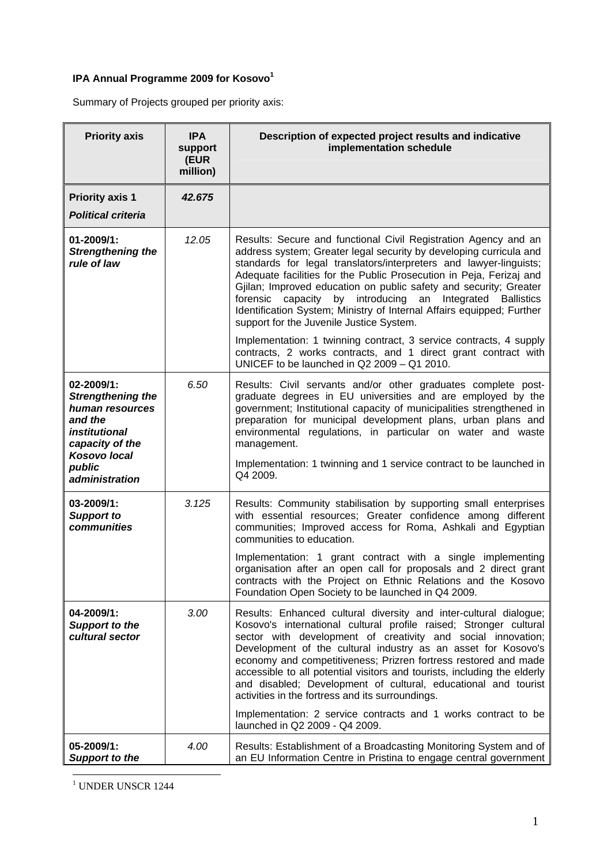## **IPA Annual Programme 2009 for Kosovo<sup>1</sup>**

Summary of Projects grouped per priority axis:

| <b>Priority axis</b>                                                                                                                      | <b>IPA</b><br>support<br>(EUR | Description of expected project results and indicative<br>implementation schedule                                                                                                                                                                                                                                                                                                                                                                                                                                                            |
|-------------------------------------------------------------------------------------------------------------------------------------------|-------------------------------|----------------------------------------------------------------------------------------------------------------------------------------------------------------------------------------------------------------------------------------------------------------------------------------------------------------------------------------------------------------------------------------------------------------------------------------------------------------------------------------------------------------------------------------------|
|                                                                                                                                           | million)                      |                                                                                                                                                                                                                                                                                                                                                                                                                                                                                                                                              |
| <b>Priority axis 1</b>                                                                                                                    | 42.675                        |                                                                                                                                                                                                                                                                                                                                                                                                                                                                                                                                              |
| <b>Political criteria</b>                                                                                                                 |                               |                                                                                                                                                                                                                                                                                                                                                                                                                                                                                                                                              |
| 01-2009/1:<br><b>Strengthening the</b><br>rule of law                                                                                     | 12.05                         | Results: Secure and functional Civil Registration Agency and an<br>address system; Greater legal security by developing curricula and<br>standards for legal translators/interpreters and lawyer-linguists;<br>Adequate facilities for the Public Prosecution in Peja, Ferizaj and<br>Gjilan; Improved education on public safety and security; Greater<br>forensic capacity by introducing an Integrated Ballistics<br>Identification System; Ministry of Internal Affairs equipped; Further<br>support for the Juvenile Justice System.    |
|                                                                                                                                           |                               | Implementation: 1 twinning contract, 3 service contracts, 4 supply<br>contracts, 2 works contracts, and 1 direct grant contract with<br>UNICEF to be launched in $Q2$ 2009 - $Q1$ 2010.                                                                                                                                                                                                                                                                                                                                                      |
| 02-2009/1:<br><b>Strengthening the</b><br>human resources<br>and the<br>institutional<br>capacity of the<br><b>Kosovo local</b><br>public | 6.50                          | Results: Civil servants and/or other graduates complete post-<br>graduate degrees in EU universities and are employed by the<br>government; Institutional capacity of municipalities strengthened in<br>preparation for municipal development plans, urban plans and<br>environmental regulations, in particular on water and waste<br>management.<br>Implementation: 1 twinning and 1 service contract to be launched in<br>Q4 2009.                                                                                                        |
| administration                                                                                                                            |                               |                                                                                                                                                                                                                                                                                                                                                                                                                                                                                                                                              |
| 03-2009/1:<br><b>Support to</b><br>communities                                                                                            | 3.125                         | Results: Community stabilisation by supporting small enterprises<br>with essential resources; Greater confidence among different<br>communities; Improved access for Roma, Ashkali and Egyptian<br>communities to education.                                                                                                                                                                                                                                                                                                                 |
|                                                                                                                                           |                               | Implementation: 1 grant contract with a single implementing<br>organisation after an open call for proposals and 2 direct grant<br>contracts with the Project on Ethnic Relations and the Kosovo<br>Foundation Open Society to be launched in Q4 2009.                                                                                                                                                                                                                                                                                       |
| 04-2009/1:<br><b>Support to the</b><br>cultural sector                                                                                    | 3.00                          | Results: Enhanced cultural diversity and inter-cultural dialogue;<br>Kosovo's international cultural profile raised; Stronger cultural<br>sector with development of creativity and social innovation;<br>Development of the cultural industry as an asset for Kosovo's<br>economy and competitiveness; Prizren fortress restored and made<br>accessible to all potential visitors and tourists, including the elderly<br>and disabled; Development of cultural, educational and tourist<br>activities in the fortress and its surroundings. |
|                                                                                                                                           |                               | Implementation: 2 service contracts and 1 works contract to be<br>launched in Q2 2009 - Q4 2009.                                                                                                                                                                                                                                                                                                                                                                                                                                             |
| 05-2009/1:<br><b>Support to the</b>                                                                                                       | 4.00                          | Results: Establishment of a Broadcasting Monitoring System and of<br>an EU Information Centre in Pristina to engage central government                                                                                                                                                                                                                                                                                                                                                                                                       |

1 UNDER UNSCR 1244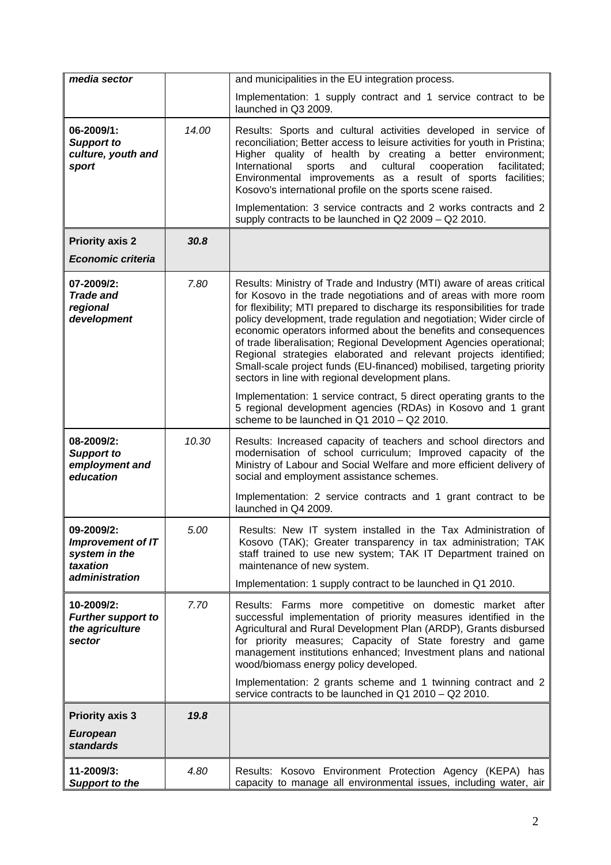| media sector                                                                          |       | and municipalities in the EU integration process.                                                                                                                                                                                                                                                                                                                                                                                                                                                                                                                                                                                          |
|---------------------------------------------------------------------------------------|-------|--------------------------------------------------------------------------------------------------------------------------------------------------------------------------------------------------------------------------------------------------------------------------------------------------------------------------------------------------------------------------------------------------------------------------------------------------------------------------------------------------------------------------------------------------------------------------------------------------------------------------------------------|
|                                                                                       |       | Implementation: 1 supply contract and 1 service contract to be<br>launched in Q3 2009.                                                                                                                                                                                                                                                                                                                                                                                                                                                                                                                                                     |
| 06-2009/1:<br><b>Support to</b><br>culture, youth and<br>sport                        | 14.00 | Results: Sports and cultural activities developed in service of<br>reconciliation; Better access to leisure activities for youth in Pristina;<br>Higher quality of health by creating a better environment;<br>International<br>cultural<br>cooperation<br>facilitated;<br>sports<br>and<br>Environmental improvements as a result of sports facilities;<br>Kosovo's international profile on the sports scene raised.                                                                                                                                                                                                                     |
|                                                                                       |       | Implementation: 3 service contracts and 2 works contracts and 2<br>supply contracts to be launched in Q2 2009 - Q2 2010.                                                                                                                                                                                                                                                                                                                                                                                                                                                                                                                   |
| <b>Priority axis 2</b>                                                                | 30.8  |                                                                                                                                                                                                                                                                                                                                                                                                                                                                                                                                                                                                                                            |
| <b>Economic criteria</b>                                                              |       |                                                                                                                                                                                                                                                                                                                                                                                                                                                                                                                                                                                                                                            |
| 07-2009/2:<br><b>Trade and</b><br>regional<br>development                             | 7.80  | Results: Ministry of Trade and Industry (MTI) aware of areas critical<br>for Kosovo in the trade negotiations and of areas with more room<br>for flexibility; MTI prepared to discharge its responsibilities for trade<br>policy development, trade regulation and negotiation; Wider circle of<br>economic operators informed about the benefits and consequences<br>of trade liberalisation; Regional Development Agencies operational;<br>Regional strategies elaborated and relevant projects identified;<br>Small-scale project funds (EU-financed) mobilised, targeting priority<br>sectors in line with regional development plans. |
|                                                                                       |       | Implementation: 1 service contract, 5 direct operating grants to the<br>5 regional development agencies (RDAs) in Kosovo and 1 grant<br>scheme to be launched in $Q1$ 2010 - $Q2$ 2010.                                                                                                                                                                                                                                                                                                                                                                                                                                                    |
| 08-2009/2:<br><b>Support to</b><br>employment and<br>education                        | 10.30 | Results: Increased capacity of teachers and school directors and<br>modernisation of school curriculum; Improved capacity of the<br>Ministry of Labour and Social Welfare and more efficient delivery of<br>social and employment assistance schemes.                                                                                                                                                                                                                                                                                                                                                                                      |
|                                                                                       |       | Implementation: 2 service contracts and 1 grant contract to be<br>launched in Q4 2009.                                                                                                                                                                                                                                                                                                                                                                                                                                                                                                                                                     |
| 09-2009/2:<br><b>Improvement of IT</b><br>system in the<br>taxation<br>administration | 5.00  | Results: New IT system installed in the Tax Administration of<br>Kosovo (TAK); Greater transparency in tax administration; TAK<br>staff trained to use new system; TAK IT Department trained on<br>maintenance of new system.                                                                                                                                                                                                                                                                                                                                                                                                              |
|                                                                                       |       | Implementation: 1 supply contract to be launched in Q1 2010.                                                                                                                                                                                                                                                                                                                                                                                                                                                                                                                                                                               |
| 10-2009/2:<br><b>Further support to</b><br>the agriculture<br>sector                  | 7.70  | Results: Farms more competitive on domestic market after<br>successful implementation of priority measures identified in the<br>Agricultural and Rural Development Plan (ARDP), Grants disbursed<br>for priority measures; Capacity of State forestry and game<br>management institutions enhanced; Investment plans and national<br>wood/biomass energy policy developed.<br>Implementation: 2 grants scheme and 1 twinning contract and 2                                                                                                                                                                                                |
|                                                                                       |       | service contracts to be launched in Q1 2010 - Q2 2010.                                                                                                                                                                                                                                                                                                                                                                                                                                                                                                                                                                                     |
| <b>Priority axis 3</b><br><b>European</b><br><b>standards</b>                         | 19.8  |                                                                                                                                                                                                                                                                                                                                                                                                                                                                                                                                                                                                                                            |
| 11-2009/3:<br><b>Support to the</b>                                                   | 4.80  | Results: Kosovo Environment Protection Agency (KEPA) has<br>capacity to manage all environmental issues, including water, air                                                                                                                                                                                                                                                                                                                                                                                                                                                                                                              |